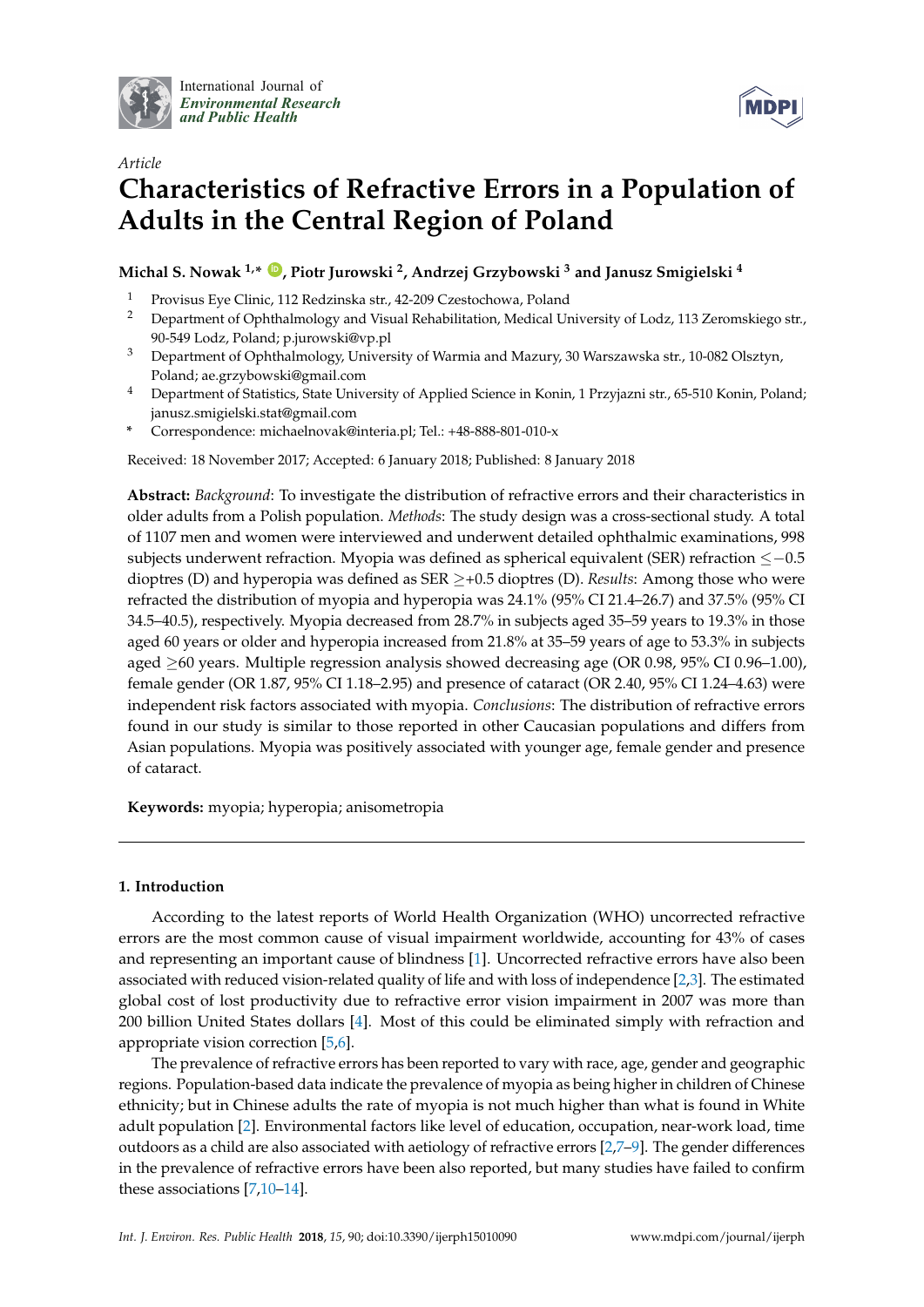

International Journal of *[Environmental Research](http://www.mdpi.com/journal/ijerph) and Public Health*



# *Article* **Characteristics of Refractive Errors in a Population of Adults in the Central Region of Poland**

**Michal S. Nowak 1,\* [ID](https://orcid.org/0000-0001-6304-1545) , Piotr Jurowski <sup>2</sup> , Andrzej Grzybowski <sup>3</sup> and Janusz Smigielski <sup>4</sup>**

- <sup>1</sup> Provisus Eye Clinic, 112 Redzinska str., 42-209 Czestochowa, Poland
- <sup>2</sup> Department of Ophthalmology and Visual Rehabilitation, Medical University of Lodz, 113 Zeromskiego str., 90-549 Lodz, Poland; p.jurowski@vp.pl
- <sup>3</sup> Department of Ophthalmology, University of Warmia and Mazury, 30 Warszawska str., 10-082 Olsztyn, Poland; ae.grzybowski@gmail.com
- <sup>4</sup> Department of Statistics, State University of Applied Science in Konin, 1 Przyjazni str., 65-510 Konin, Poland; janusz.smigielski.stat@gmail.com
- **\*** Correspondence: michaelnovak@interia.pl; Tel.: +48-888-801-010-x

Received: 18 November 2017; Accepted: 6 January 2018; Published: 8 January 2018

**Abstract:** *Background*: To investigate the distribution of refractive errors and their characteristics in older adults from a Polish population. *Methods*: The study design was a cross-sectional study. A total of 1107 men and women were interviewed and underwent detailed ophthalmic examinations, 998 subjects underwent refraction. Myopia was defined as spherical equivalent (SER) refraction ≤−0.5 dioptres (D) and hyperopia was defined as SER ≥+0.5 dioptres (D). *Results*: Among those who were refracted the distribution of myopia and hyperopia was 24.1% (95% CI 21.4–26.7) and 37.5% (95% CI 34.5–40.5), respectively. Myopia decreased from 28.7% in subjects aged 35–59 years to 19.3% in those aged 60 years or older and hyperopia increased from 21.8% at 35–59 years of age to 53.3% in subjects aged ≥60 years. Multiple regression analysis showed decreasing age (OR 0.98, 95% CI 0.96–1.00), female gender (OR 1.87, 95% CI 1.18–2.95) and presence of cataract (OR 2.40, 95% CI 1.24–4.63) were independent risk factors associated with myopia. *Conclusions*: The distribution of refractive errors found in our study is similar to those reported in other Caucasian populations and differs from Asian populations. Myopia was positively associated with younger age, female gender and presence of cataract.

**Keywords:** myopia; hyperopia; anisometropia

# **1. Introduction**

According to the latest reports of World Health Organization (WHO) uncorrected refractive errors are the most common cause of visual impairment worldwide, accounting for 43% of cases and representing an important cause of blindness [\[1\]](#page-7-0). Uncorrected refractive errors have also been associated with reduced vision-related quality of life and with loss of independence [\[2,](#page-7-1)[3\]](#page-7-2). The estimated global cost of lost productivity due to refractive error vision impairment in 2007 was more than 200 billion United States dollars [\[4\]](#page-7-3). Most of this could be eliminated simply with refraction and appropriate vision correction [\[5](#page-7-4)[,6\]](#page-7-5).

The prevalence of refractive errors has been reported to vary with race, age, gender and geographic regions. Population-based data indicate the prevalence of myopia as being higher in children of Chinese ethnicity; but in Chinese adults the rate of myopia is not much higher than what is found in White adult population [\[2\]](#page-7-1). Environmental factors like level of education, occupation, near-work load, time outdoors as a child are also associated with aetiology of refractive errors [\[2](#page-7-1)[,7](#page-7-6)[–9\]](#page-7-7). The gender differences in the prevalence of refractive errors have been also reported, but many studies have failed to confirm these associations [\[7](#page-7-6)[,10–](#page-7-8)[14\]](#page-8-0).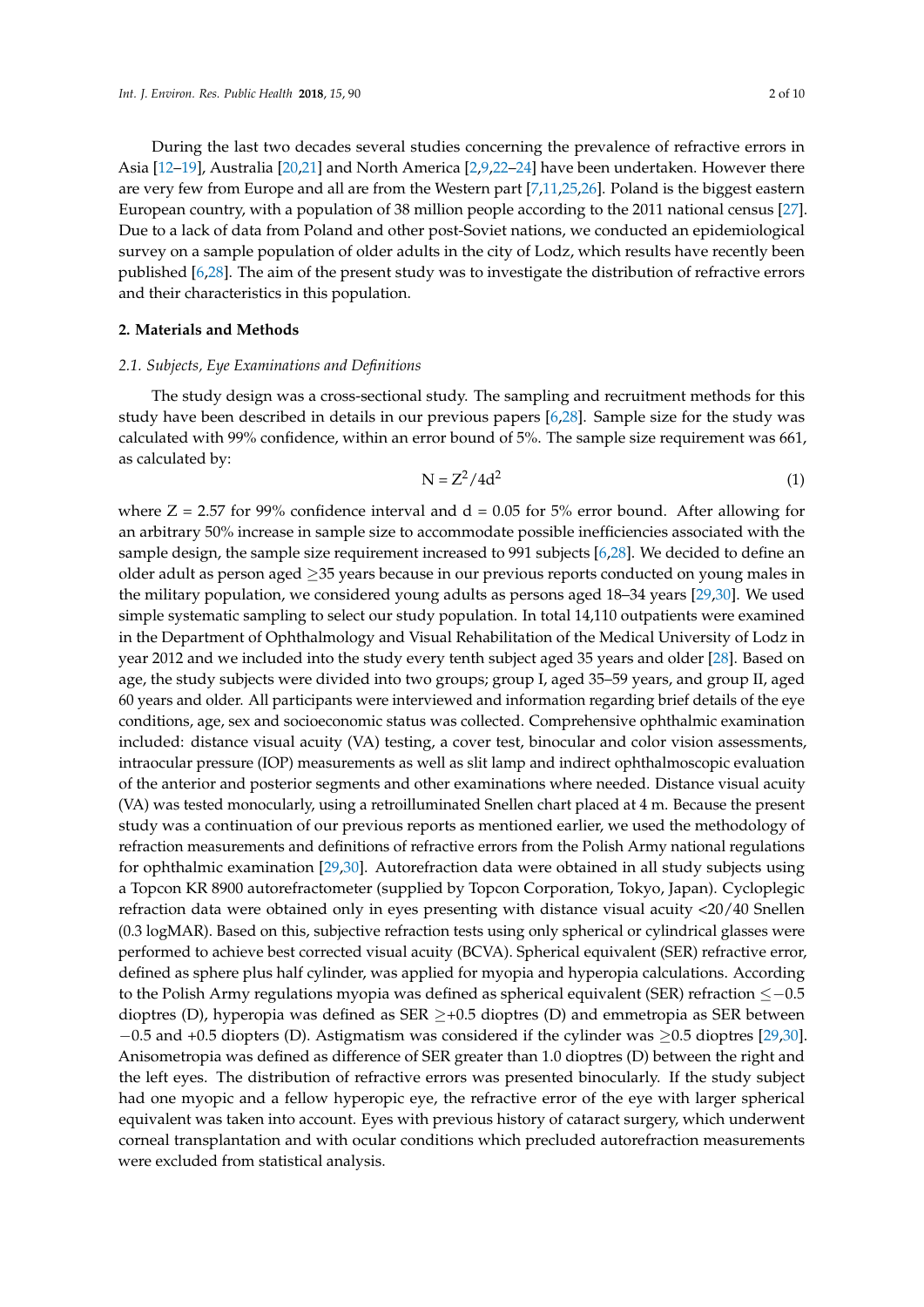During the last two decades several studies concerning the prevalence of refractive errors in Asia [\[12–](#page-7-9)[19\]](#page-8-1), Australia [\[20,](#page-8-2)[21\]](#page-8-3) and North America [\[2](#page-7-1)[,9,](#page-7-7)[22–](#page-8-4)[24\]](#page-8-5) have been undertaken. However there are very few from Europe and all are from the Western part [\[7](#page-7-6)[,11,](#page-7-10)[25,](#page-8-6)[26\]](#page-8-7). Poland is the biggest eastern European country, with a population of 38 million people according to the 2011 national census [\[27\]](#page-8-8). Due to a lack of data from Poland and other post-Soviet nations, we conducted an epidemiological survey on a sample population of older adults in the city of Lodz, which results have recently been published [\[6,](#page-7-5)[28\]](#page-8-9). The aim of the present study was to investigate the distribution of refractive errors and their characteristics in this population.

# **2. Materials and Methods**

#### *2.1. Subjects, Eye Examinations and Definitions*

The study design was a cross-sectional study. The sampling and recruitment methods for this study have been described in details in our previous papers [\[6](#page-7-5)[,28\]](#page-8-9). Sample size for the study was calculated with 99% confidence, within an error bound of 5%. The sample size requirement was 661, as calculated by:

$$
N = Z^2 / 4d^2 \tag{1}
$$

where  $Z = 2.57$  for 99% confidence interval and  $d = 0.05$  for 5% error bound. After allowing for an arbitrary 50% increase in sample size to accommodate possible inefficiencies associated with the sample design, the sample size requirement increased to 991 subjects [\[6,](#page-7-5)[28\]](#page-8-9). We decided to define an older adult as person aged ≥35 years because in our previous reports conducted on young males in the military population, we considered young adults as persons aged 18–34 years [\[29,](#page-8-10)[30\]](#page-8-11). We used simple systematic sampling to select our study population. In total 14,110 outpatients were examined in the Department of Ophthalmology and Visual Rehabilitation of the Medical University of Lodz in year 2012 and we included into the study every tenth subject aged 35 years and older [\[28\]](#page-8-9). Based on age, the study subjects were divided into two groups; group I, aged 35–59 years, and group II, aged 60 years and older. All participants were interviewed and information regarding brief details of the eye conditions, age, sex and socioeconomic status was collected. Comprehensive ophthalmic examination included: distance visual acuity (VA) testing, a cover test, binocular and color vision assessments, intraocular pressure (IOP) measurements as well as slit lamp and indirect ophthalmoscopic evaluation of the anterior and posterior segments and other examinations where needed. Distance visual acuity (VA) was tested monocularly, using a retroilluminated Snellen chart placed at 4 m. Because the present study was a continuation of our previous reports as mentioned earlier, we used the methodology of refraction measurements and definitions of refractive errors from the Polish Army national regulations for ophthalmic examination [\[29](#page-8-10)[,30\]](#page-8-11). Autorefraction data were obtained in all study subjects using a Topcon KR 8900 autorefractometer (supplied by Topcon Corporation, Tokyo, Japan). Cycloplegic refraction data were obtained only in eyes presenting with distance visual acuity <20/40 Snellen (0.3 logMAR). Based on this, subjective refraction tests using only spherical or cylindrical glasses were performed to achieve best corrected visual acuity (BCVA). Spherical equivalent (SER) refractive error, defined as sphere plus half cylinder, was applied for myopia and hyperopia calculations. According to the Polish Army regulations myopia was defined as spherical equivalent (SER) refraction ≤−0.5 dioptres (D), hyperopia was defined as SER  $\geq +0.5$  dioptres (D) and emmetropia as SER between −0.5 and +0.5 diopters (D). Astigmatism was considered if the cylinder was ≥0.5 dioptres [\[29,](#page-8-10)[30\]](#page-8-11). Anisometropia was defined as difference of SER greater than 1.0 dioptres (D) between the right and the left eyes. The distribution of refractive errors was presented binocularly. If the study subject had one myopic and a fellow hyperopic eye, the refractive error of the eye with larger spherical equivalent was taken into account. Eyes with previous history of cataract surgery, which underwent corneal transplantation and with ocular conditions which precluded autorefraction measurements were excluded from statistical analysis.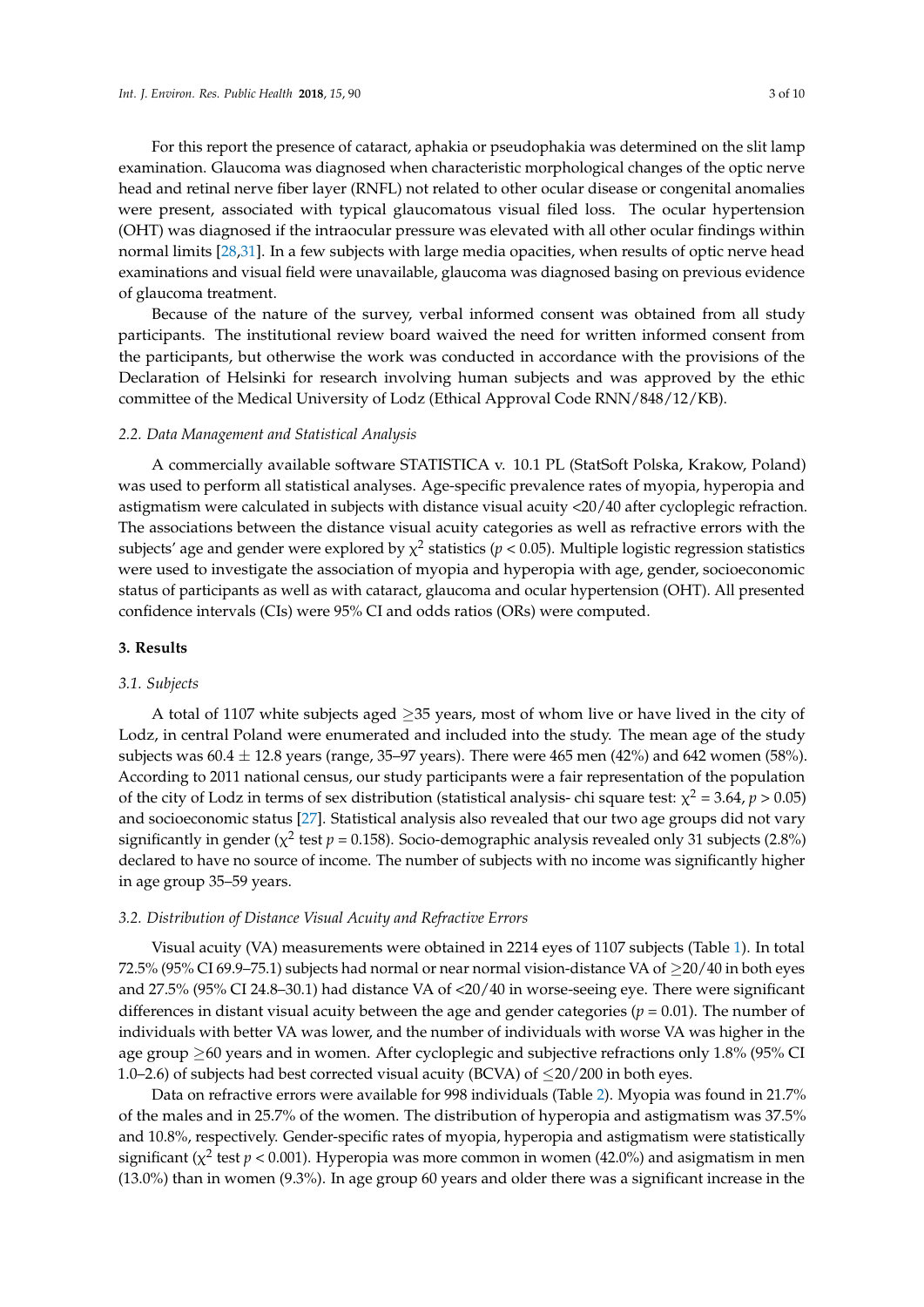For this report the presence of cataract, aphakia or pseudophakia was determined on the slit lamp examination. Glaucoma was diagnosed when characteristic morphological changes of the optic nerve head and retinal nerve fiber layer (RNFL) not related to other ocular disease or congenital anomalies were present, associated with typical glaucomatous visual filed loss. The ocular hypertension (OHT) was diagnosed if the intraocular pressure was elevated with all other ocular findings within normal limits [\[28,](#page-8-9)[31\]](#page-8-12). In a few subjects with large media opacities, when results of optic nerve head examinations and visual field were unavailable, glaucoma was diagnosed basing on previous evidence of glaucoma treatment.

Because of the nature of the survey, verbal informed consent was obtained from all study participants. The institutional review board waived the need for written informed consent from the participants, but otherwise the work was conducted in accordance with the provisions of the Declaration of Helsinki for research involving human subjects and was approved by the ethic committee of the Medical University of Lodz (Ethical Approval Code RNN/848/12/KB).

### *2.2. Data Management and Statistical Analysis*

A commercially available software STATISTICA v. 10.1 PL (StatSoft Polska, Krakow, Poland) was used to perform all statistical analyses. Age-specific prevalence rates of myopia, hyperopia and astigmatism were calculated in subjects with distance visual acuity <20/40 after cycloplegic refraction. The associations between the distance visual acuity categories as well as refractive errors with the subjects' age and gender were explored by  $\chi^2$  statistics ( $p < 0.05$ ). Multiple logistic regression statistics were used to investigate the association of myopia and hyperopia with age, gender, socioeconomic status of participants as well as with cataract, glaucoma and ocular hypertension (OHT). All presented confidence intervals (CIs) were 95% CI and odds ratios (ORs) were computed.

#### **3. Results**

#### *3.1. Subjects*

A total of 1107 white subjects aged  $\geq$  35 years, most of whom live or have lived in the city of Lodz, in central Poland were enumerated and included into the study. The mean age of the study subjects was  $60.4 \pm 12.8$  years (range, 35–97 years). There were 465 men (42%) and 642 women (58%). According to 2011 national census, our study participants were a fair representation of the population of the city of Lodz in terms of sex distribution (statistical analysis- chi square test:  $\chi^2$  = 3.64, *p* > 0.05) and socioeconomic status [\[27\]](#page-8-8). Statistical analysis also revealed that our two age groups did not vary significantly in gender ( $\chi^2$  test  $p = 0.158$ ). Socio-demographic analysis revealed only 31 subjects (2.8%) declared to have no source of income. The number of subjects with no income was significantly higher in age group 35–59 years.

# *3.2. Distribution of Distance Visual Acuity and Refractive Errors*

Visual acuity (VA) measurements were obtained in 2214 eyes of 1107 subjects (Table [1\)](#page-3-0). In total 72.5% (95% CI 69.9–75.1) subjects had normal or near normal vision-distance VA of ≥20/40 in both eyes and 27.5% (95% CI 24.8–30.1) had distance VA of <20/40 in worse-seeing eye. There were significant differences in distant visual acuity between the age and gender categories ( $p = 0.01$ ). The number of individuals with better VA was lower, and the number of individuals with worse VA was higher in the age group  $\geq 60$  years and in women. After cycloplegic and subjective refractions only 1.8% (95% CI 1.0–2.6) of subjects had best corrected visual acuity (BCVA) of  $\leq$ 20/200 in both eyes.

Data on refractive errors were available for 998 individuals (Table [2\)](#page-3-1). Myopia was found in 21.7% of the males and in 25.7% of the women. The distribution of hyperopia and astigmatism was 37.5% and 10.8%, respectively. Gender-specific rates of myopia, hyperopia and astigmatism were statistically significant ( $\chi^2$  test  $p < 0.001$ ). Hyperopia was more common in women (42.0%) and asigmatism in men (13.0%) than in women (9.3%). In age group 60 years and older there was a significant increase in the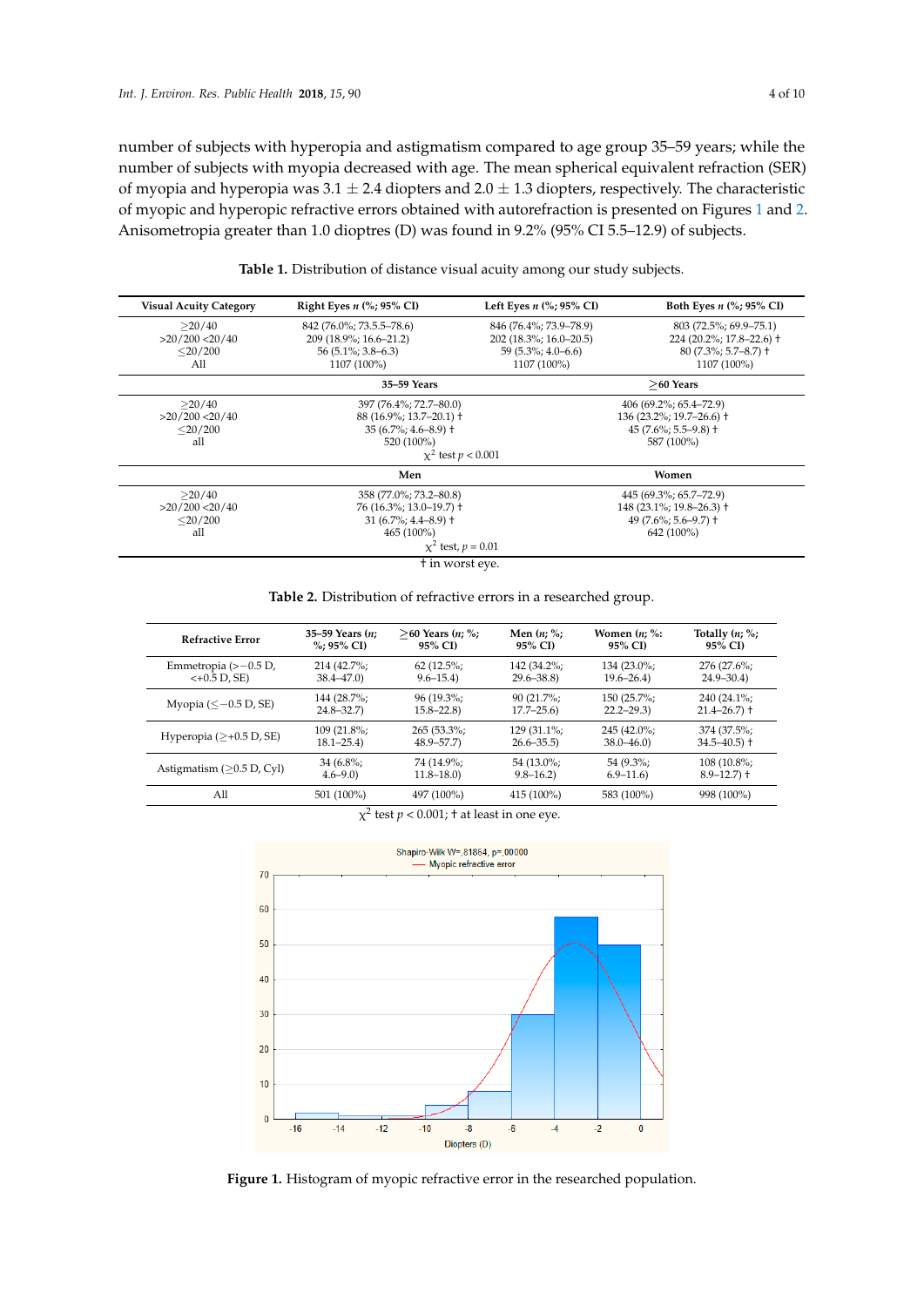*number of subjects with hyperopia and astigmatism compared to age group 35–59 years; while the*  ${\rm number\ of\ subjects\ with\ myopia\ decreased\ with\ age.}$  The mean spherical equivalent refraction (SER) of myopia and hyperopia was 3.1  $\pm$  2.4 diopters and 2.0  $\pm$  1.3 diopters, respectively. The characteristic of myopic and hyperopic refractive errors obtained with autorefraction is presented on Figures [1](#page-3-2) and [2.](#page-4-0) Anisometropia greater than 1.0 dioptres (D) was found in 9.2% (95% CI 5.5–12.9) of subjects. found in 9.2% (95% CI 5.5–12.9) of subjects.

<span id="page-3-0"></span>

| <b>Visual Acuity Category</b> | Right Eyes $n$ (%; 95% CI) | Left Eyes $n$ (%; 95% CI)                              | Both Eyes $n$ (%; 95% CI)  |                            |  |
|-------------------------------|----------------------------|--------------------------------------------------------|----------------------------|----------------------------|--|
| >20/40                        | 842 (76.0%; 73.5.5–78.6)   | 803 (72.5%; 69.9–75.1)<br>846 (76.4%; 73.9–78.9)       |                            |                            |  |
| $>20/200$ < 20/40             | 209 (18.9%; 16.6–21.2)     | $202(18.3\%; 16.0 - 20.5)$<br>224 (20.2%; 17.8-22.6) + |                            |                            |  |
| $<$ 20/200                    | $56(5.1\%; 3.8-6.3)$       | $59(5.3\%; 4.0 - 6.6)$                                 | $80(7.3\%; 5.7-8.7)$ †     |                            |  |
| A11                           | 1107 (100%)                | 1107 (100%)                                            | 1107 (100%)                |                            |  |
|                               | 35–59 Years                |                                                        | $>60$ Years                |                            |  |
| >20/40                        | 397 (76.4%; 72.7–80.0)     | $406(69.2\%; 65.4–72.9)$                               |                            |                            |  |
| >20/200 < 20/40               | 88 (16.9%; 13.7-20.1) +    |                                                        | $136(23.2\%; 19.7-26.6)$ † |                            |  |
| $<$ 20/200                    | $35(6.7\%; 4.6-8.9)$ †     |                                                        | $45(7.6\%; 5.5-9.8)$ †     |                            |  |
| all                           | 520 (100%)                 | 587 (100%)                                             |                            |                            |  |
|                               | $x^2$ test $p < 0.001$     |                                                        |                            |                            |  |
|                               | Men                        | Women                                                  |                            |                            |  |
| >20/40                        | 358 (77.0%; 73.2–80.8)     | 445 (69.3%; 65.7–72.9)                                 |                            |                            |  |
| $>20/200$ < 20/40             | 76 (16.3%; 13.0–19.7) +    |                                                        |                            | $148(23.1\%; 19.8-26.3)$ † |  |
| $<$ 20/200                    | $31(6.7\%; 4.4–8.9)$ †     | $49(7.6\%; 5.6 - 9.7)$ †                               |                            |                            |  |
| all                           | 465 (100%)                 | 642 (100%)                                             |                            |                            |  |
|                               | $x^2$ test, $p = 0.01$     |                                                        |                            |                            |  |
|                               | t in worst eye.            |                                                        |                            |                            |  |

**Table 1.** Distribution of distance visual acuity among our study subjects. **Table 1.** Distribution of distance visual acuity among our study subjects.

**Table 2.** Distribution of refractive errors in a researched group. **Table 2.** Distribution of refractive errors in a researched group.

<span id="page-3-1"></span>

| <b>Refractive Error</b>                   | 35–59 Years $(n;$ | $>60$ Years $(n; %$ | Men $(n; \%;$ | Women $(n; \%$ : | Totally $(n; \%;$ |
|-------------------------------------------|-------------------|---------------------|---------------|------------------|-------------------|
|                                           | %: 95% CI)        | 95% CI)             | 95% CI)       | 95% CI)          | 95% CI)           |
| Emmetropia $(>-0.5 D,$                    | 214 (42.7%;       | $62(12.5\%;$        | 142 (34.2%;   | 134 (23.0%;      | 276 (27.6%;       |
| $<+0.5$ D, SE)                            | $38.4 - 47.0$     | $9.6 - 15.4$        | $29.6 - 38.8$ | $19.6 - 26.4$    | $24.9 - 30.4$     |
| Myopia $(\leq -0.5 \text{ D}, \text{SE})$ | 144 (28.7%;       | $96(19.3\%;$        | $90(21.7\%;$  | 150 (25.7%;      | 240 (24.1%;       |
|                                           | $24.8 - 32.7$     | $15.8 - 22.8$       | $17.7 - 25.6$ | $22.2 - 29.3$    | $21.4 - 26.7$ +   |
| Hyperopia ( $\geq +0.5$ D, SE)            | $109(21.8\%;$     | $265(53.3\%;$       | $129(31.1\%)$ | $245(42.0\%);$   | 374 (37.5%;       |
|                                           | $18.1 - 25.4$     | $48.9 - 57.7$       | $26.6 - 35.5$ | $38.0 - 46.0$    | $34.5 - 40.5$ +   |
| Astigmatism ( $\geq$ 0.5 D, Cyl)          | $34(6.8\%;$       | 74 (14.9%;          | 54 (13.0%;    | $54(9.3\%;$      | $108(10.8\%);$    |
|                                           | $4.6 - 9.0$       | $11.8 - 18.0$       | $9.8 - 16.2$  | $6.9 - 11.6$     | $8.9 - 12.7$ +    |
| All                                       | 501 (100%)        | 497 (100%)          | 415 (100%)    | 583 (100%)       | 998 (100%)        |

|  |  |  | $\chi^2$ test $p < 0.001$ ; † at least in one eye. |  |
|--|--|--|----------------------------------------------------|--|
|--|--|--|----------------------------------------------------|--|

<span id="page-3-2"></span>

Figure 1. Histogram of myopic refractive error in the researched population.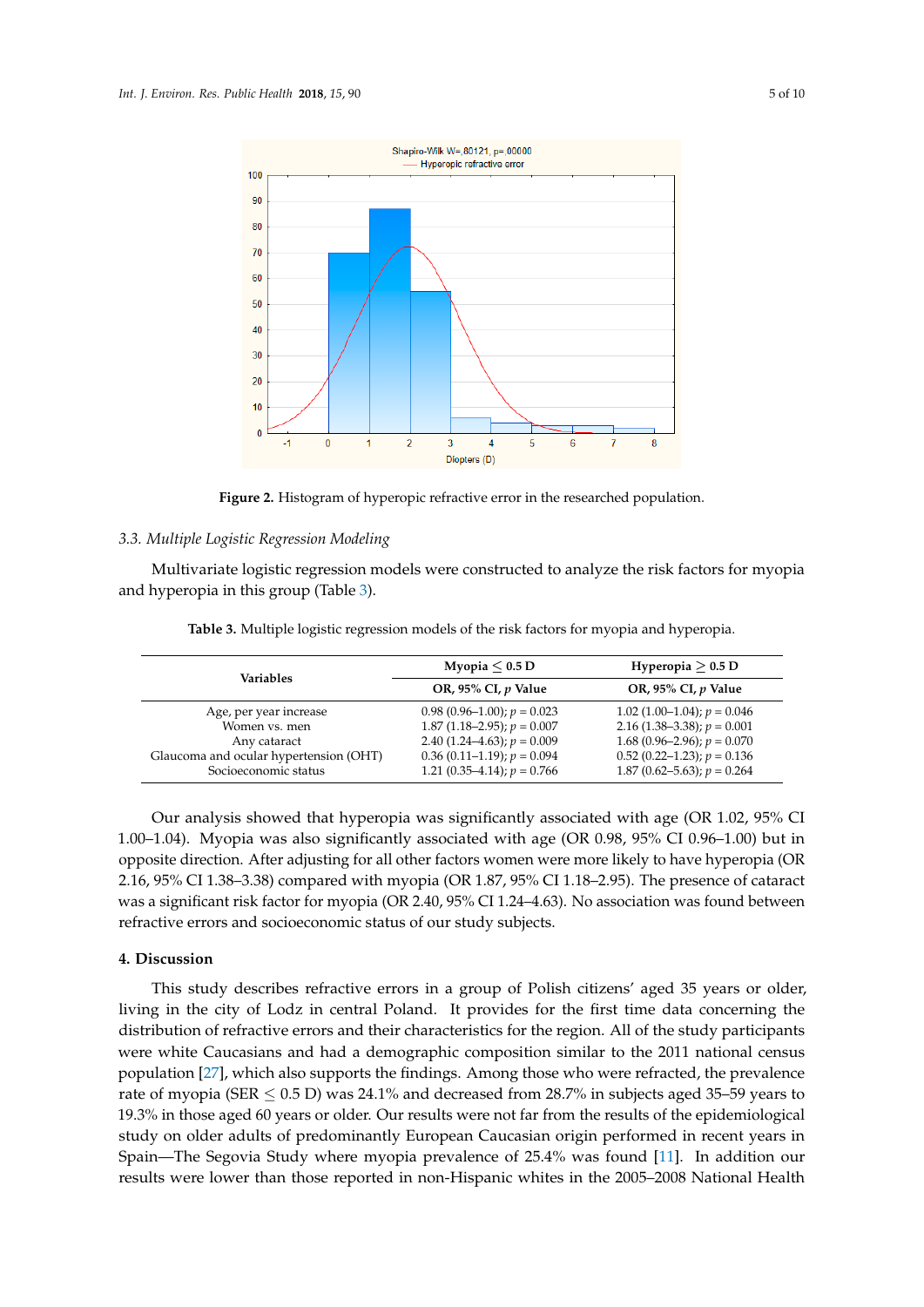<span id="page-4-0"></span>

**Figure 2.** Histogram of hyperopic refractive error in the researched population. **Figure 2.** Histogram of hyperopic refractive error in the researched population.

# *3.3. Multiple Logistic Regression Modeling 3.3. Multiple Logistic Regression Modeling*

Multivariate logistic regression models were constructed to analyze the risk factors for myopia Multivariate logistic regression models were constructed to analyze the risk factors for myopia and hyperopia in this group (Table 3). and hyperopia in this group (Table [3\)](#page-4-1).

<span id="page-4-1"></span>

| Variables                              | Myopia $< 0.5$ D                 | Hyperopia $\geq$ 0.5 D             |  |
|----------------------------------------|----------------------------------|------------------------------------|--|
|                                        | OR, 95% CI, $p$ Value            | OR, 95% CI, $p$ Value              |  |
| Age, per year increase                 | $0.98(0.96-1.00); p = 0.023$     | 1.02 $(1.00-1.04)$ ; $p = 0.046$   |  |
| Women vs. men                          | 1.87 $(1.18-2.95)$ ; $p = 0.007$ | 2.16 $(1.38-3.38)$ ; $p = 0.001$   |  |
| Any cataract                           | 2.40 $(1.24-4.63)$ ; $p = 0.009$ | 1.68 (0.96–2.96); $p = 0.070$      |  |
| Glaucoma and ocular hypertension (OHT) | $0.36$ (0.11–1.19); $p = 0.094$  | $0.52$ (0.22–1.23); $p = 0.136$    |  |
| Socioeconomic status                   | 1.21 $(0.35-4.14)$ ; $p = 0.766$ | 1.87 $(0.62 - 5.63)$ ; $p = 0.264$ |  |

**Table 3.** Multiple logistic regression models of the risk factors for myopia and hyperopia. **Table 3.** Multiple logistic regression models of the risk factors for myopia and hyperopia.

Our analysis showed that hyperopia was significantly associated with age (OR 1.02, 95% CI Our analysis showed that hyperopia was significantly associated with age (OR 1.02, 95% CI 1.00**–**1.04). Myopia was also significantly associated with age (OR 0.98, 95% CI 0.96**–**1.00) but in 1.00–1.04). Myopia was also significantly associated with age (OR 0.98, 95% CI 0.96–1.00) but in  $\sim$ opposite direction. After adjusting for all other factors women were more likely to have hyperopia (OR<br>2*16*–25% CL1.28–2.28). 2.16, 95% CI 1.38–3.38) compared with myopia (OR 1.87, 95% CI 1.18–2.95). The presence of cataract 2.16, 95% CI 1 was a significant risk factor for myopia (OR 2.40, 95% CI 1.24–4.63). No association was found between<br>. refractive errors and socioeconomic status of our study subjects.

# **4. Discussion 4. Discussion**

This study describes refractive errors in a group of Polish citizens' aged 35 years or older, living in the city of Lodz in central Poland. It provides for the first time data concerning the distribution of refractive errors and their characteristics for the region. All of the study participants were white Caucasians and had a demographic composition similar to the 2011 national census population [\[27\]](#page-8-8), which also supports the findings. Among those who were refracted, the prevalence rate of myopia (SER ≤ 0.5 D) was 24.1% and decreased from 28.7% in subjects aged 35–59 years to 19.3% in those aged 60 years or older. Our results were not far from the results of the epidemiological study on older adults of predominantly European Caucasian origin performed in recent years in Spain—The Segovia Study where myopia prevalence of 25.4% was found [\[11\]](#page-7-10). In addition our than the those reported in non-Hispanic whites in the 2005–2008 National Health results were lower than those reported in non-Hispanic whites in the 2005–2008 National Health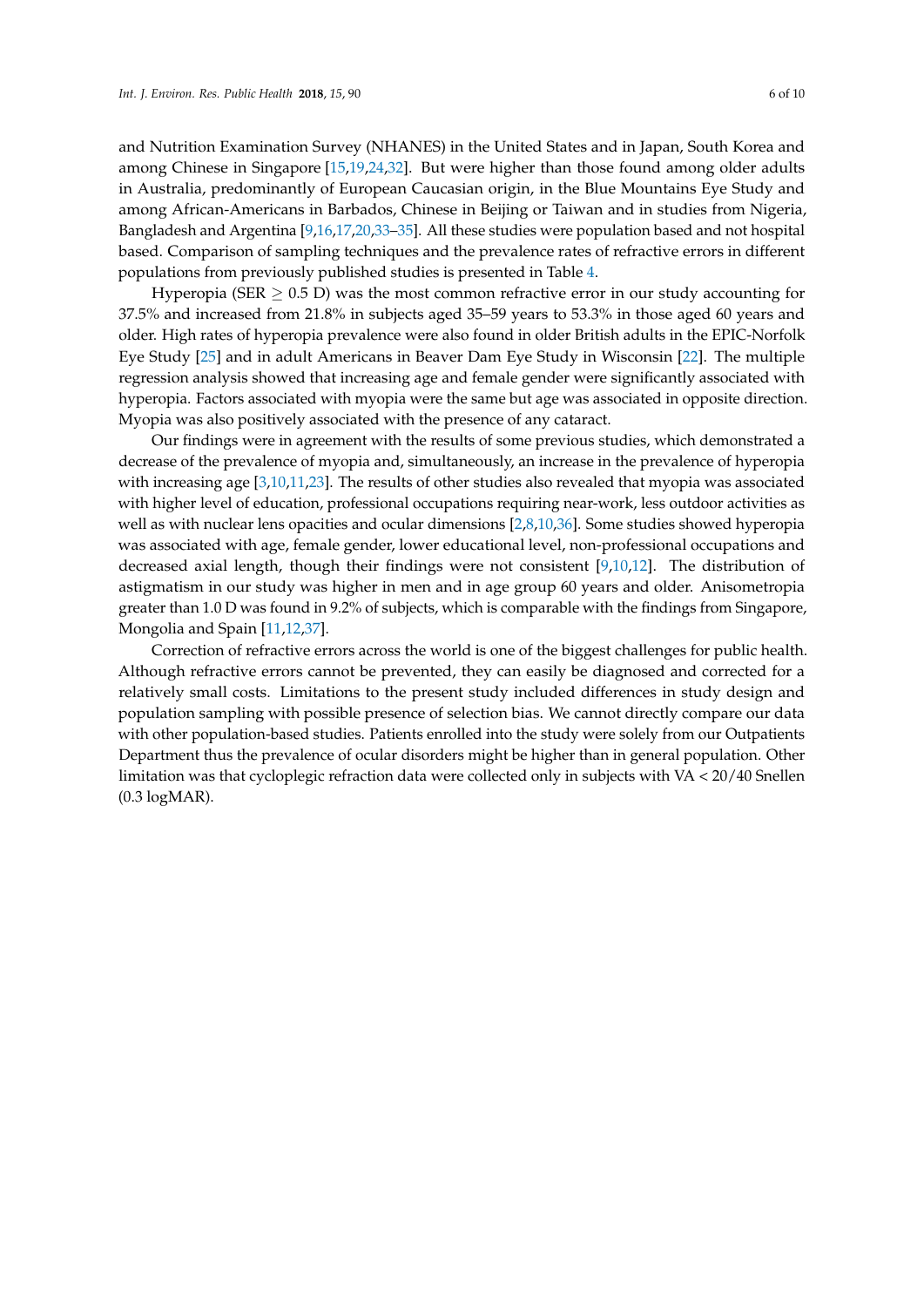and Nutrition Examination Survey (NHANES) in the United States and in Japan, South Korea and among Chinese in Singapore [\[15,](#page-8-13)[19,](#page-8-1)[24,](#page-8-5)[32\]](#page-8-14). But were higher than those found among older adults in Australia, predominantly of European Caucasian origin, in the Blue Mountains Eye Study and among African-Americans in Barbados, Chinese in Beijing or Taiwan and in studies from Nigeria, Bangladesh and Argentina [\[9](#page-7-7)[,16,](#page-8-15)[17,](#page-8-16)[20](#page-8-2)[,33](#page-8-17)[–35\]](#page-9-0). All these studies were population based and not hospital based. Comparison of sampling techniques and the prevalence rates of refractive errors in different populations from previously published studies is presented in Table [4.](#page-6-0)

Hyperopia (SER  $\geq$  0.5 D) was the most common refractive error in our study accounting for 37.5% and increased from 21.8% in subjects aged 35–59 years to 53.3% in those aged 60 years and older. High rates of hyperopia prevalence were also found in older British adults in the EPIC-Norfolk Eye Study [\[25\]](#page-8-6) and in adult Americans in Beaver Dam Eye Study in Wisconsin [\[22\]](#page-8-4). The multiple regression analysis showed that increasing age and female gender were significantly associated with hyperopia. Factors associated with myopia were the same but age was associated in opposite direction. Myopia was also positively associated with the presence of any cataract.

Our findings were in agreement with the results of some previous studies, which demonstrated a decrease of the prevalence of myopia and, simultaneously, an increase in the prevalence of hyperopia with increasing age [\[3](#page-7-2)[,10](#page-7-8)[,11,](#page-7-10)[23\]](#page-8-18). The results of other studies also revealed that myopia was associated with higher level of education, professional occupations requiring near-work, less outdoor activities as well as with nuclear lens opacities and ocular dimensions [\[2,](#page-7-1)[8,](#page-7-11)[10](#page-7-8)[,36\]](#page-9-1). Some studies showed hyperopia was associated with age, female gender, lower educational level, non-professional occupations and decreased axial length, though their findings were not consistent [\[9](#page-7-7)[,10](#page-7-8)[,12\]](#page-7-9). The distribution of astigmatism in our study was higher in men and in age group 60 years and older. Anisometropia greater than 1.0 D was found in 9.2% of subjects, which is comparable with the findings from Singapore, Mongolia and Spain [\[11](#page-7-10)[,12](#page-7-9)[,37\]](#page-9-2).

Correction of refractive errors across the world is one of the biggest challenges for public health. Although refractive errors cannot be prevented, they can easily be diagnosed and corrected for a relatively small costs. Limitations to the present study included differences in study design and population sampling with possible presence of selection bias. We cannot directly compare our data with other population-based studies. Patients enrolled into the study were solely from our Outpatients Department thus the prevalence of ocular disorders might be higher than in general population. Other limitation was that cycloplegic refraction data were collected only in subjects with VA < 20/40 Snellen (0.3 logMAR).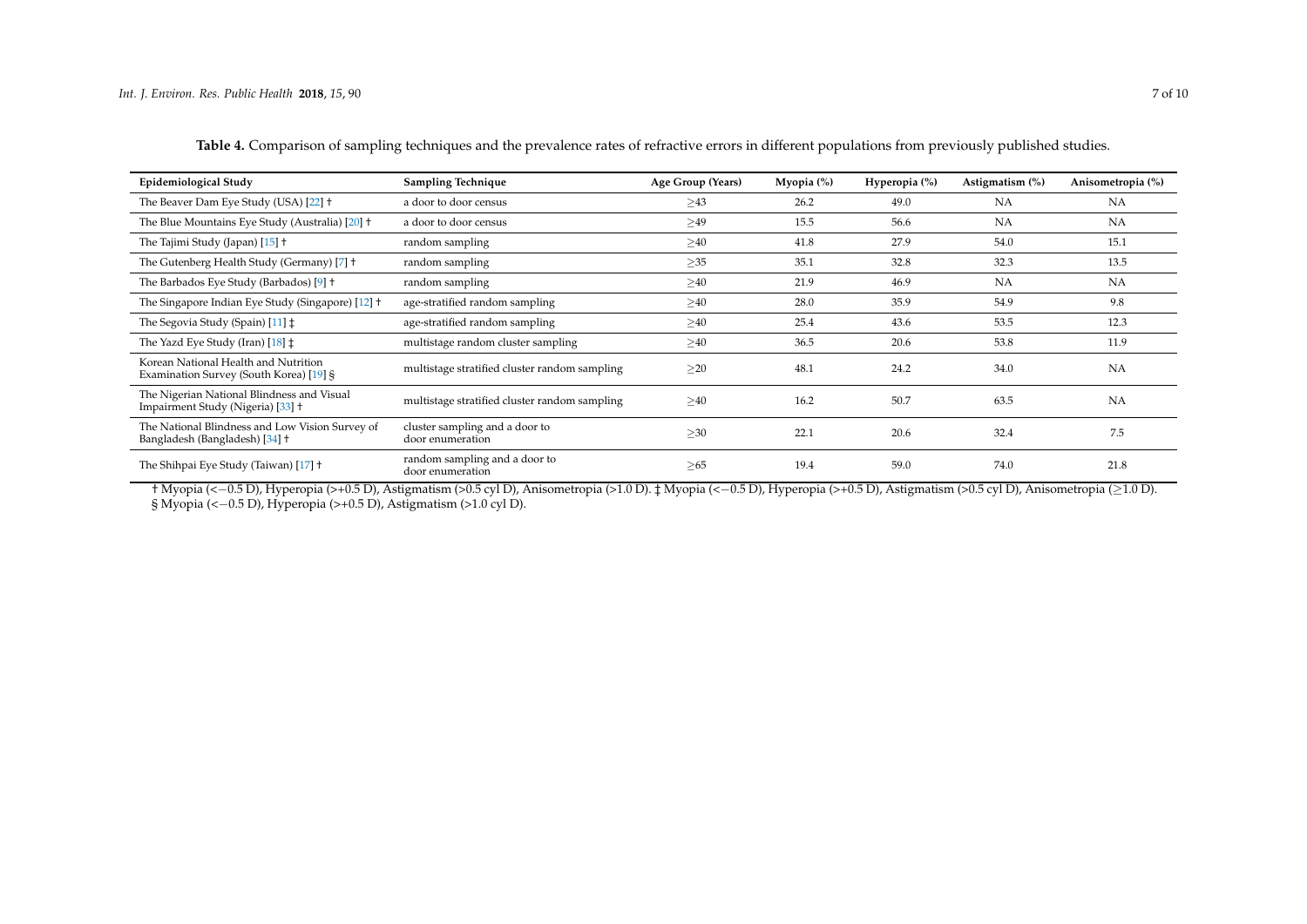| <b>Epidemiological Study</b>                                                      | <b>Sampling Technique</b>                          | Age Group (Years) | Myopia $(\%)$ | Hyperopia (%) | Astigmatism (%) | Anisometropia (%) |
|-----------------------------------------------------------------------------------|----------------------------------------------------|-------------------|---------------|---------------|-----------------|-------------------|
| The Beaver Dam Eye Study (USA) [22] +                                             | a door to door census                              | >43               | 26.2          | 49.0          | <b>NA</b>       | NA                |
| The Blue Mountains Eye Study (Australia) [20] +                                   | a door to door census                              | >49               | 15.5          | 56.6          | NA              | NA                |
| The Tajimi Study (Japan) [15] +                                                   | random sampling                                    | >40               | 41.8          | 27.9          | 54.0            | 15.1              |
| The Gutenberg Health Study (Germany) [7] +                                        | random sampling                                    | $\geq$ 35         | 35.1          | 32.8          | 32.3            | 13.5              |
| The Barbados Eye Study (Barbados) [9] +                                           | random sampling                                    | $\geq 40$         | 21.9          | 46.9          | <b>NA</b>       | NA                |
| The Singapore Indian Eye Study (Singapore) [12] +                                 | age-stratified random sampling                     | $\geq 40$         | 28.0          | 35.9          | 54.9            | 9.8               |
| The Segovia Study (Spain) [11] $\ddagger$                                         | age-stratified random sampling                     | $\geq 40$         | 25.4          | 43.6          | 53.5            | 12.3              |
| The Yazd Eye Study (Iran) [18] $\ddagger$                                         | multistage random cluster sampling                 | $\geq 40$         | 36.5          | 20.6          | 53.8            | 11.9              |
| Korean National Health and Nutrition<br>Examination Survey (South Korea) [19] §   | multistage stratified cluster random sampling      | $\geq$ 20         | 48.1          | 24.2          | 34.0            | NA                |
| The Nigerian National Blindness and Visual<br>Impairment Study (Nigeria) [33] +   | multistage stratified cluster random sampling      | $\geq 40$         | 16.2          | 50.7          | 63.5            | NA                |
| The National Blindness and Low Vision Survey of<br>Bangladesh (Bangladesh) [34] † | cluster sampling and a door to<br>door enumeration | $\geq 30$         | 22.1          | 20.6          | 32.4            | 7.5               |
| The Shihpai Eye Study (Taiwan) [17] +                                             | random sampling and a door to<br>door enumeration  | $\geq 65$         | 19.4          | 59.0          | 74.0            | 21.8              |

**Table 4.** Comparison of sampling techniques and the prevalence rates of refractive errors in different populations from previously published studies.

<span id="page-6-0"></span>† Myopia (<−0.5 D), Hyperopia (>+0.5 D), Astigmatism (>0.5 cyl D), Anisometropia (>1.0 D). ‡ Myopia (<−0.5 D), Hyperopia (>+0.5 D), Astigmatism (>0.5 cyl D), Anisometropia (≥1.0 D). § Myopia (<−0.5 D), Hyperopia (>+0.5 D), Astigmatism (>1.0 cyl D).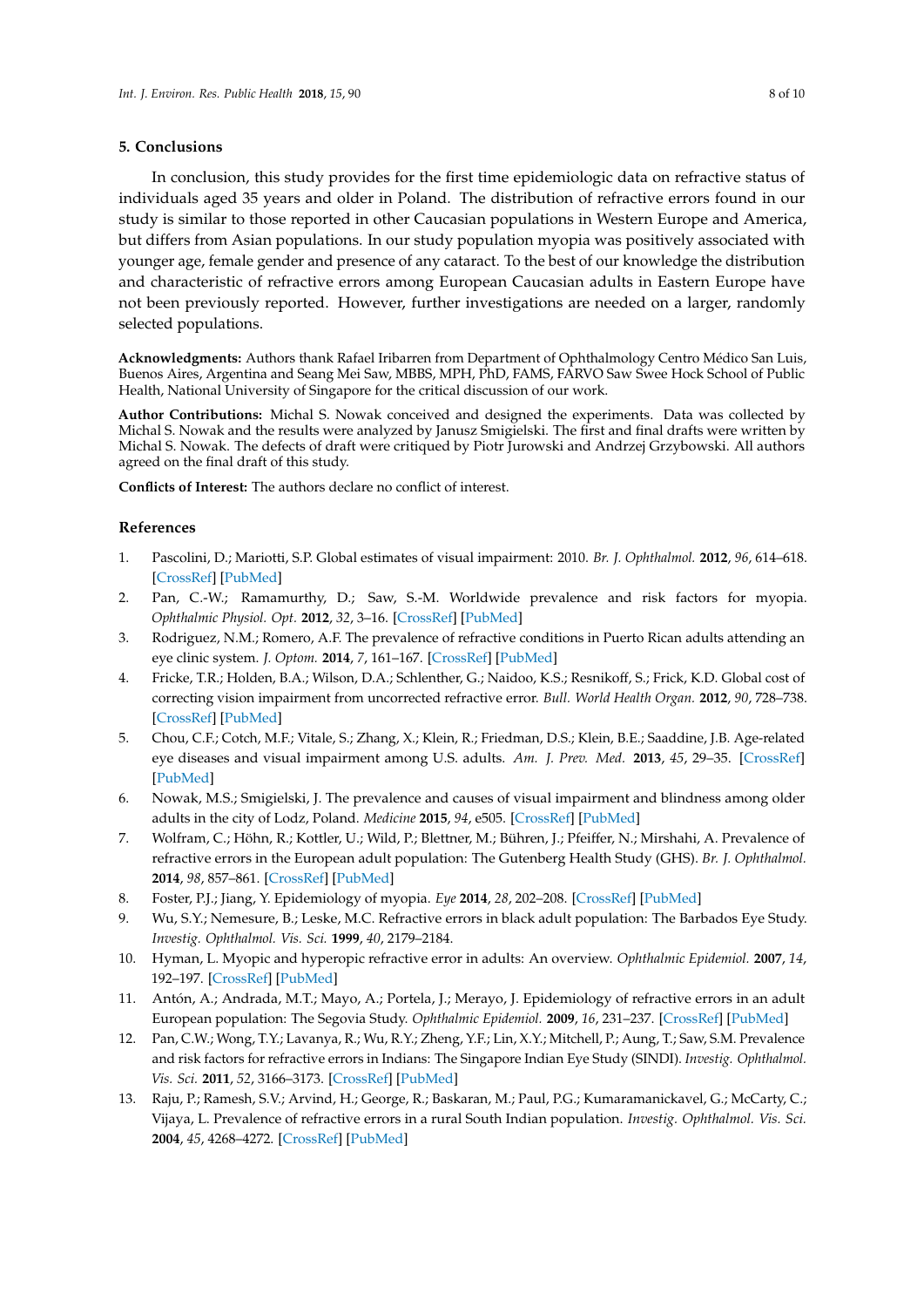### **5. Conclusions**

In conclusion, this study provides for the first time epidemiologic data on refractive status of individuals aged 35 years and older in Poland. The distribution of refractive errors found in our study is similar to those reported in other Caucasian populations in Western Europe and America, but differs from Asian populations. In our study population myopia was positively associated with younger age, female gender and presence of any cataract. To the best of our knowledge the distribution and characteristic of refractive errors among European Caucasian adults in Eastern Europe have not been previously reported. However, further investigations are needed on a larger, randomly selected populations.

**Acknowledgments:** Authors thank Rafael Iribarren from Department of Ophthalmology Centro Médico San Luis, Buenos Aires, Argentina and Seang Mei Saw, MBBS, MPH, PhD, FAMS, FARVO Saw Swee Hock School of Public Health, National University of Singapore for the critical discussion of our work.

<span id="page-7-12"></span>**Author Contributions:** Michal S. Nowak conceived and designed the experiments. Data was collected by Michal S. Nowak and the results were analyzed by Janusz Smigielski. The first and final drafts were written by Michal S. Nowak. The defects of draft were critiqued by Piotr Jurowski and Andrzej Grzybowski. All authors agreed on the final draft of this study.

**Conflicts of Interest:** The authors declare no conflict of interest.

# <span id="page-7-13"></span>**References**

- <span id="page-7-0"></span>1. Pascolini, D.; Mariotti, S.P. Global estimates of visual impairment: 2010. *Br. J. Ophthalmol.* **2012**, *96*, 614–618. [\[CrossRef\]](http://dx.doi.org/10.1136/bjophthalmol-2011-300539) [\[PubMed\]](http://www.ncbi.nlm.nih.gov/pubmed/22133988)
- <span id="page-7-15"></span><span id="page-7-1"></span>2. Pan, C.-W.; Ramamurthy, D.; Saw, S.-M. Worldwide prevalence and risk factors for myopia. *Ophthalmic Physiol. Opt.* **2012**, *32*, 3–16. [\[CrossRef\]](http://dx.doi.org/10.1111/j.1475-1313.2011.00884.x) [\[PubMed\]](http://www.ncbi.nlm.nih.gov/pubmed/22150586)
- <span id="page-7-14"></span><span id="page-7-2"></span>3. Rodriguez, N.M.; Romero, A.F. The prevalence of refractive conditions in Puerto Rican adults attending an eye clinic system. *J. Optom.* **2014**, *7*, 161–167. [\[CrossRef\]](http://dx.doi.org/10.1016/j.optom.2013.06.001) [\[PubMed\]](http://www.ncbi.nlm.nih.gov/pubmed/25000872)
- <span id="page-7-3"></span>4. Fricke, T.R.; Holden, B.A.; Wilson, D.A.; Schlenther, G.; Naidoo, K.S.; Resnikoff, S.; Frick, K.D. Global cost of correcting vision impairment from uncorrected refractive error. *Bull. World Health Organ.* **2012**, *90*, 728–738. [\[CrossRef\]](http://dx.doi.org/10.2471/BLT.12.104034) [\[PubMed\]](http://www.ncbi.nlm.nih.gov/pubmed/23109740)
- <span id="page-7-4"></span>5. Chou, C.F.; Cotch, M.F.; Vitale, S.; Zhang, X.; Klein, R.; Friedman, D.S.; Klein, B.E.; Saaddine, J.B. Age-related eye diseases and visual impairment among U.S. adults. *Am. J. Prev. Med.* **2013**, *45*, 29–35. [\[CrossRef\]](http://dx.doi.org/10.1016/j.amepre.2013.02.018) [\[PubMed\]](http://www.ncbi.nlm.nih.gov/pubmed/23790986)
- <span id="page-7-5"></span>6. Nowak, M.S.; Smigielski, J. The prevalence and causes of visual impairment and blindness among older adults in the city of Lodz, Poland. *Medicine* **2015**, *94*, e505. [\[CrossRef\]](http://dx.doi.org/10.1097/MD.0000000000000505) [\[PubMed\]](http://www.ncbi.nlm.nih.gov/pubmed/25654398)
- <span id="page-7-6"></span>7. Wolfram, C.; Höhn, R.; Kottler, U.; Wild, P.; Blettner, M.; Bühren, J.; Pfeiffer, N.; Mirshahi, A. Prevalence of refractive errors in the European adult population: The Gutenberg Health Study (GHS). *Br. J. Ophthalmol.* **2014**, *98*, 857–861. [\[CrossRef\]](http://dx.doi.org/10.1136/bjophthalmol-2013-304228) [\[PubMed\]](http://www.ncbi.nlm.nih.gov/pubmed/24515986)
- <span id="page-7-11"></span>8. Foster, P.J.; Jiang, Y. Epidemiology of myopia. *Eye* **2014**, *28*, 202–208. [\[CrossRef\]](http://dx.doi.org/10.1038/eye.2013.280) [\[PubMed\]](http://www.ncbi.nlm.nih.gov/pubmed/24406412)
- <span id="page-7-7"></span>9. Wu, S.Y.; Nemesure, B.; Leske, M.C. Refractive errors in black adult population: The Barbados Eye Study. *Investig. Ophthalmol. Vis. Sci.* **1999**, *40*, 2179–2184.
- <span id="page-7-8"></span>10. Hyman, L. Myopic and hyperopic refractive error in adults: An overview. *Ophthalmic Epidemiol.* **2007**, *14*, 192–197. [\[CrossRef\]](http://dx.doi.org/10.1080/09286580701535517) [\[PubMed\]](http://www.ncbi.nlm.nih.gov/pubmed/17896297)
- <span id="page-7-10"></span>11. Antón, A.; Andrada, M.T.; Mayo, A.; Portela, J.; Merayo, J. Epidemiology of refractive errors in an adult European population: The Segovia Study. *Ophthalmic Epidemiol.* **2009**, *16*, 231–237. [\[CrossRef\]](http://dx.doi.org/10.1080/09286580903000476) [\[PubMed\]](http://www.ncbi.nlm.nih.gov/pubmed/19874144)
- <span id="page-7-9"></span>12. Pan, C.W.; Wong, T.Y.; Lavanya, R.; Wu, R.Y.; Zheng, Y.F.; Lin, X.Y.; Mitchell, P.; Aung, T.; Saw, S.M. Prevalence and risk factors for refractive errors in Indians: The Singapore Indian Eye Study (SINDI). *Investig. Ophthalmol. Vis. Sci.* **2011**, *52*, 3166–3173. [\[CrossRef\]](http://dx.doi.org/10.1167/iovs.10-6210) [\[PubMed\]](http://www.ncbi.nlm.nih.gov/pubmed/21296814)
- 13. Raju, P.; Ramesh, S.V.; Arvind, H.; George, R.; Baskaran, M.; Paul, P.G.; Kumaramanickavel, G.; McCarty, C.; Vijaya, L. Prevalence of refractive errors in a rural South Indian population. *Investig. Ophthalmol. Vis. Sci.* **2004**, *45*, 4268–4272. [\[CrossRef\]](http://dx.doi.org/10.1167/iovs.04-0221) [\[PubMed\]](http://www.ncbi.nlm.nih.gov/pubmed/15557431)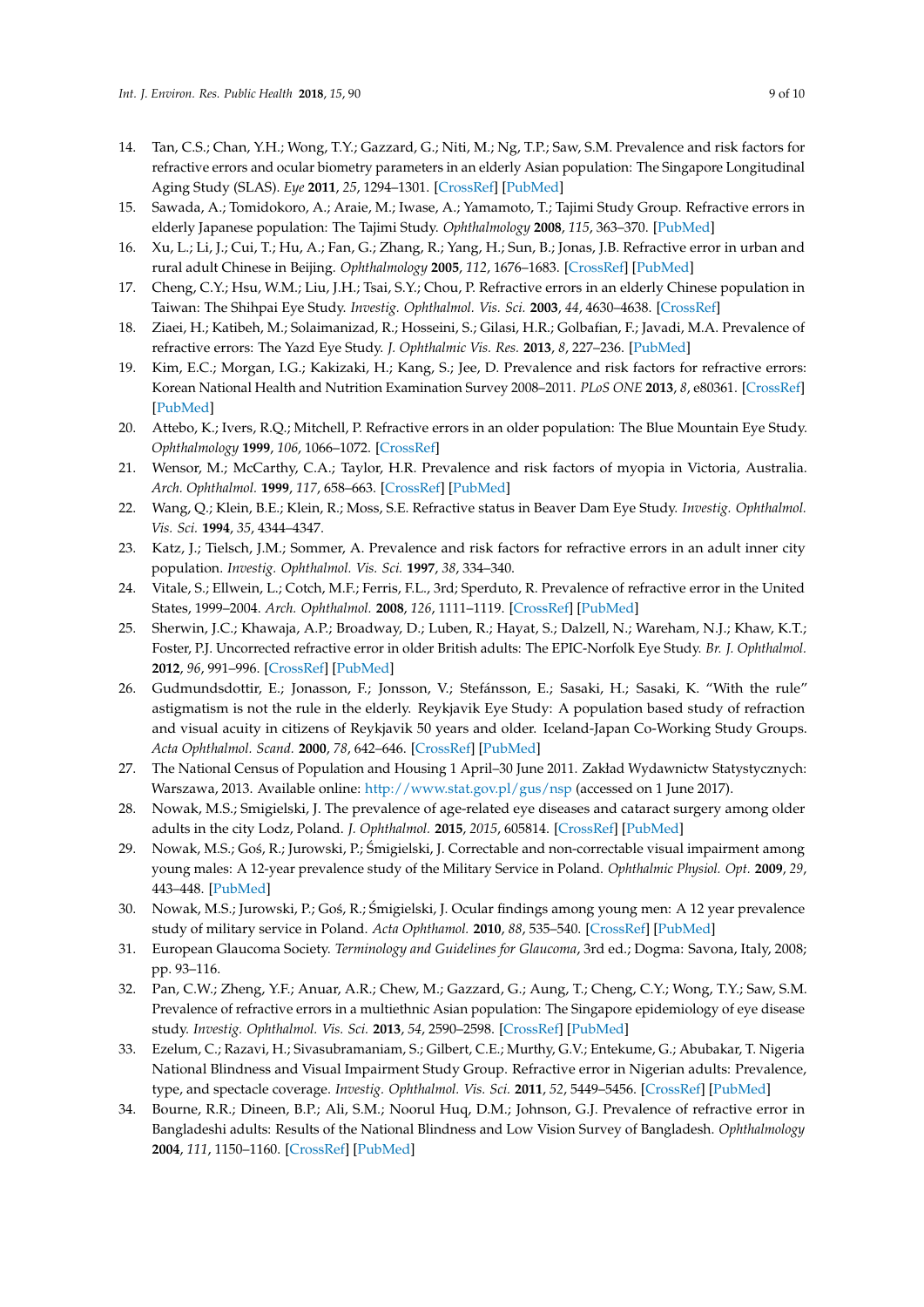- <span id="page-8-26"></span><span id="page-8-23"></span><span id="page-8-22"></span><span id="page-8-21"></span><span id="page-8-20"></span><span id="page-8-19"></span><span id="page-8-0"></span>14. Tan, C.S.; Chan, Y.H.; Wong, T.Y.; Gazzard, G.; Niti, M.; Ng, T.P.; Saw, S.M. Prevalence and risk factors for refractive errors and ocular biometry parameters in an elderly Asian population: The Singapore Longitudinal Aging Study (SLAS). *Eye* **2011**, *25*, 1294–1301. [\[CrossRef\]](http://dx.doi.org/10.1038/eye.2011.144) [\[PubMed\]](http://www.ncbi.nlm.nih.gov/pubmed/21720418)
- <span id="page-8-13"></span>15. Sawada, A.; Tomidokoro, A.; Araie, M.; Iwase, A.; Yamamoto, T.; Tajimi Study Group. Refractive errors in elderly Japanese population: The Tajimi Study. *Ophthalmology* **2008**, *115*, 363–370. [\[PubMed\]](http://www.ncbi.nlm.nih.gov/pubmed/18243904)
- <span id="page-8-15"></span>16. Xu, L.; Li, J.; Cui, T.; Hu, A.; Fan, G.; Zhang, R.; Yang, H.; Sun, B.; Jonas, J.B. Refractive error in urban and rural adult Chinese in Beijing. *Ophthalmology* **2005**, *112*, 1676–1683. [\[CrossRef\]](http://dx.doi.org/10.1016/j.ophtha.2005.05.015) [\[PubMed\]](http://www.ncbi.nlm.nih.gov/pubmed/16111755)
- <span id="page-8-16"></span>17. Cheng, C.Y.; Hsu, W.M.; Liu, J.H.; Tsai, S.Y.; Chou, P. Refractive errors in an elderly Chinese population in Taiwan: The Shihpai Eye Study. *Investig. Ophthalmol. Vis. Sci.* **2003**, *44*, 4630–4638. [\[CrossRef\]](http://dx.doi.org/10.1167/iovs.03-0169)
- 18. Ziaei, H.; Katibeh, M.; Solaimanizad, R.; Hosseini, S.; Gilasi, H.R.; Golbafian, F.; Javadi, M.A. Prevalence of refractive errors: The Yazd Eye Study. *J. Ophthalmic Vis. Res.* **2013**, *8*, 227–236. [\[PubMed\]](http://www.ncbi.nlm.nih.gov/pubmed/24349666)
- <span id="page-8-1"></span>19. Kim, E.C.; Morgan, I.G.; Kakizaki, H.; Kang, S.; Jee, D. Prevalence and risk factors for refractive errors: Korean National Health and Nutrition Examination Survey 2008–2011. *PLoS ONE* **2013**, *8*, e80361. [\[CrossRef\]](http://dx.doi.org/10.1371/journal.pone.0080361) [\[PubMed\]](http://www.ncbi.nlm.nih.gov/pubmed/24224049)
- <span id="page-8-2"></span>20. Attebo, K.; Ivers, R.Q.; Mitchell, P. Refractive errors in an older population: The Blue Mountain Eye Study. *Ophthalmology* **1999**, *106*, 1066–1072. [\[CrossRef\]](http://dx.doi.org/10.1016/S0161-6420(99)90251-8)
- <span id="page-8-3"></span>21. Wensor, M.; McCarthy, C.A.; Taylor, H.R. Prevalence and risk factors of myopia in Victoria, Australia. *Arch. Ophthalmol.* **1999**, *117*, 658–663. [\[CrossRef\]](http://dx.doi.org/10.1001/archopht.117.5.658) [\[PubMed\]](http://www.ncbi.nlm.nih.gov/pubmed/10326965)
- <span id="page-8-4"></span>22. Wang, Q.; Klein, B.E.; Klein, R.; Moss, S.E. Refractive status in Beaver Dam Eye Study. *Investig. Ophthalmol. Vis. Sci.* **1994**, *35*, 4344–4347.
- <span id="page-8-18"></span>23. Katz, J.; Tielsch, J.M.; Sommer, A. Prevalence and risk factors for refractive errors in an adult inner city population. *Investig. Ophthalmol. Vis. Sci.* **1997**, *38*, 334–340.
- <span id="page-8-5"></span>24. Vitale, S.; Ellwein, L.; Cotch, M.F.; Ferris, F.L., 3rd; Sperduto, R. Prevalence of refractive error in the United States, 1999–2004. *Arch. Ophthalmol.* **2008**, *126*, 1111–1119. [\[CrossRef\]](http://dx.doi.org/10.1001/archopht.126.8.1111) [\[PubMed\]](http://www.ncbi.nlm.nih.gov/pubmed/18695106)
- <span id="page-8-24"></span><span id="page-8-6"></span>25. Sherwin, J.C.; Khawaja, A.P.; Broadway, D.; Luben, R.; Hayat, S.; Dalzell, N.; Wareham, N.J.; Khaw, K.T.; Foster, P.J. Uncorrected refractive error in older British adults: The EPIC-Norfolk Eye Study. *Br. J. Ophthalmol.* **2012**, *96*, 991–996. [\[CrossRef\]](http://dx.doi.org/10.1136/bjophthalmol-2011-301430) [\[PubMed\]](http://www.ncbi.nlm.nih.gov/pubmed/22535330)
- <span id="page-8-25"></span><span id="page-8-7"></span>26. Gudmundsdottir, E.; Jonasson, F.; Jonsson, V.; Stefánsson, E.; Sasaki, H.; Sasaki, K. "With the rule" astigmatism is not the rule in the elderly. Reykjavik Eye Study: A population based study of refraction and visual acuity in citizens of Reykjavik 50 years and older. Iceland-Japan Co-Working Study Groups. *Acta Ophthalmol. Scand.* **2000**, *78*, 642–646. [\[CrossRef\]](http://dx.doi.org/10.1034/j.1600-0420.2000.078006642.x) [\[PubMed\]](http://www.ncbi.nlm.nih.gov/pubmed/11167223)
- <span id="page-8-8"></span>27. The National Census of Population and Housing 1 April–30 June 2011. Zakład Wydawnictw Statystycznych: Warszawa, 2013. Available online: <http://www.stat.gov.pl/gus/nsp> (accessed on 1 June 2017).
- <span id="page-8-9"></span>28. Nowak, M.S.; Smigielski, J. The prevalence of age-related eye diseases and cataract surgery among older adults in the city Lodz, Poland. *J. Ophthalmol.* **2015**, *2015*, 605814. [\[CrossRef\]](http://dx.doi.org/10.1155/2015/605814) [\[PubMed\]](http://www.ncbi.nlm.nih.gov/pubmed/25789169)
- <span id="page-8-10"></span>29. Nowak, M.S.; Goś, R.; Jurowski, P.; Śmigielski, J. Correctable and non-correctable visual impairment among young males: A 12-year prevalence study of the Military Service in Poland. *Ophthalmic Physiol. Opt.* **2009**, *29*, 443–448. [\[PubMed\]](http://www.ncbi.nlm.nih.gov/pubmed/19292830)
- <span id="page-8-11"></span>30. Nowak, M.S.; Jurowski, P.; Goś, R.; Śmigielski, J. Ocular findings among young men: A 12 year prevalence study of military service in Poland. *Acta Ophthamol.* **2010**, *88*, 535–540. [\[CrossRef\]](http://dx.doi.org/10.1111/j.1755-3768.2008.01476.x) [\[PubMed\]](http://www.ncbi.nlm.nih.gov/pubmed/19456312)
- <span id="page-8-12"></span>31. European Glaucoma Society. *Terminology and Guidelines for Glaucoma*, 3rd ed.; Dogma: Savona, Italy, 2008; pp. 93–116.
- <span id="page-8-14"></span>32. Pan, C.W.; Zheng, Y.F.; Anuar, A.R.; Chew, M.; Gazzard, G.; Aung, T.; Cheng, C.Y.; Wong, T.Y.; Saw, S.M. Prevalence of refractive errors in a multiethnic Asian population: The Singapore epidemiology of eye disease study. *Investig. Ophthalmol. Vis. Sci.* **2013**, *54*, 2590–2598. [\[CrossRef\]](http://dx.doi.org/10.1167/iovs.13-11725) [\[PubMed\]](http://www.ncbi.nlm.nih.gov/pubmed/23513059)
- <span id="page-8-17"></span>33. Ezelum, C.; Razavi, H.; Sivasubramaniam, S.; Gilbert, C.E.; Murthy, G.V.; Entekume, G.; Abubakar, T. Nigeria National Blindness and Visual Impairment Study Group. Refractive error in Nigerian adults: Prevalence, type, and spectacle coverage. *Investig. Ophthalmol. Vis. Sci.* **2011**, *52*, 5449–5456. [\[CrossRef\]](http://dx.doi.org/10.1167/iovs.10-6770) [\[PubMed\]](http://www.ncbi.nlm.nih.gov/pubmed/21330658)
- 34. Bourne, R.R.; Dineen, B.P.; Ali, S.M.; Noorul Huq, D.M.; Johnson, G.J. Prevalence of refractive error in Bangladeshi adults: Results of the National Blindness and Low Vision Survey of Bangladesh. *Ophthalmology* **2004**, *111*, 1150–1160. [\[CrossRef\]](http://dx.doi.org/10.1016/j.ophtha.2003.09.046) [\[PubMed\]](http://www.ncbi.nlm.nih.gov/pubmed/15177965)